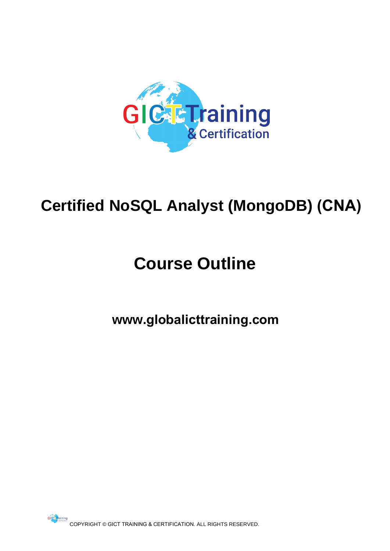

## **Certified NoSQL Analyst (MongoDB) (CNA)**

# **Course Outline**

**www.globalicttraining.com**

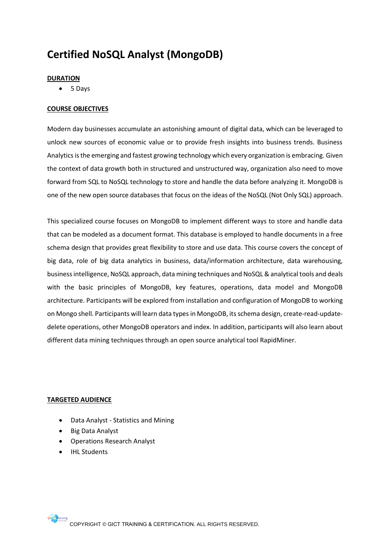### **Certified NoSQL Analyst (MongoDB)**

#### **DURATION**

5 Days

#### **COURSE OBJECTIVES**

Modern day businesses accumulate an astonishing amount of digital data, which can be leveraged to unlock new sources of economic value or to provide fresh insights into business trends. Business Analytics is the emerging and fastest growing technology which every organization is embracing. Given the context of data growth both in structured and unstructured way, organization also need to move forward from SQL to NoSQL technology to store and handle the data before analyzing it. MongoDB is one of the new open source databases that focus on the ideas of the NoSQL (Not Only SQL) approach.

This specialized course focuses on MongoDB to implement different ways to store and handle data that can be modeled as a document format. This database is employed to handle documents in a free schema design that provides great flexibility to store and use data. This course covers the concept of big data, role of big data analytics in business, data/information architecture, data warehousing, business intelligence, NoSQL approach, data mining techniques and NoSQL & analytical tools and deals with the basic principles of MongoDB, key features, operations, data model and MongoDB architecture. Participants will be explored from installation and configuration of MongoDB to working on Mongo shell. Participants will learn data types in MongoDB, its schema design, create-read-update-delete operations, other MongoDB operators and index. In addition, participants will also learn about different data mining techniques through an open source analytical tool RapidMiner.

dzie dzie dzie dzie dzie

- Data Analyst Statistics and Mining
- Big Data Analyst
- Operations Research Analyst
- IHL Students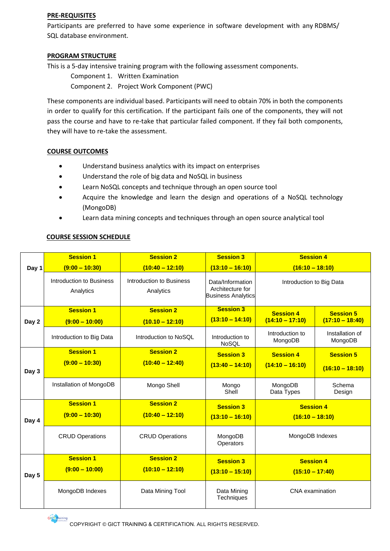#### **PRE-REQUISITES**

Participants are preferred to have some experience in software development with any RDBMS/ SQL database environment.

#### **PROGRAM STRUCTURE**

This is a 5-day intensive training program with the following assessment components.

Component 1. Written Examination

Component 2. Project Work Component (PWC)

These components are individual based. Participants will need to obtain 70% in both the components in order to qualify for this certification. If the participant fails one of the components, they will not pass the course and have to re-take that particular failed component. If they fail both components, they will have to re-take the assessment.

#### **COURSE OUTCOMES**

- Understand business analytics with its impact on enterprises
- Understand the role of big data and NoSQL in business
- Learn NoSQL concepts and technique through an open source tool
- Acquire the knowledge and learn the design and operations of a NoSQL technology (MongoDB)
- Learn data mining concepts and techniques through an open source analytical tool

#### **COURSE SESSION SCHEDULE**

|       | <b>Session 1</b>                      | <b>Session 2</b>                      | <b>Session 3</b>                                                  | <b>Session 4</b>                      |                                       |
|-------|---------------------------------------|---------------------------------------|-------------------------------------------------------------------|---------------------------------------|---------------------------------------|
| Day 1 | $(9:00 - 10:30)$                      | $(10:40 - 12:10)$                     | $(13:10 - 16:10)$                                                 | $(16:10 - 18:10)$                     |                                       |
|       | Introduction to Business<br>Analytics | Introduction to Business<br>Analytics | Data/Information<br>Architecture for<br><b>Business Analytics</b> | Introduction to Big Data              |                                       |
| Day 2 | <b>Session 1</b><br>$(9:00 - 10:00)$  | <b>Session 2</b><br>$(10.10 - 12:10)$ | <b>Session 3</b><br>$(13:10 - 14:10)$                             | <b>Session 4</b><br>$(14:10 - 17:10)$ | <b>Session 5</b><br>$(17:10 - 18:40)$ |
|       | Introduction to Big Data              | Introduction to NoSQL                 | Introduction to<br>NoSQL                                          | Introduction to<br>MongoDB            | Installation of<br>MongoDB            |
| Day 3 | <b>Session 1</b><br>$(9:00 - 10:30)$  | <b>Session 2</b><br>$(10:40 - 12:40)$ | <b>Session 3</b><br>$(13:40 - 14:10)$                             | <b>Session 4</b><br>$(14:10 - 16:10)$ | <b>Session 5</b><br>$(16:10 - 18:10)$ |
|       | Installation of MongoDB               | Mongo Shell                           | Mongo<br>Shell                                                    | MongoDB<br>Data Types                 | Schema<br>Design                      |
| Day 4 | <b>Session 1</b><br>$(9:00 - 10:30)$  | <b>Session 2</b><br>$(10:40 - 12:10)$ | <b>Session 3</b><br>$(13:10 - 16:10)$                             | <b>Session 4</b><br>$(16:10 - 18:10)$ |                                       |
|       | <b>CRUD Operations</b>                | <b>CRUD Operations</b>                | MongoDB<br>Operators                                              | MongoDB Indexes                       |                                       |
| Day 5 | <b>Session 1</b>                      | <b>Session 2</b>                      | <b>Session 3</b>                                                  | <b>Session 4</b>                      |                                       |
|       | $(9:00 - 10:00)$                      | $(10:10 - 12:10)$                     | $(13:10 - 15:10)$                                                 | $(15:10 - 17:40)$                     |                                       |
|       | MongoDB Indexes                       | Data Mining Tool                      | Data Mining<br>Techniques                                         | <b>CNA</b> examination                |                                       |

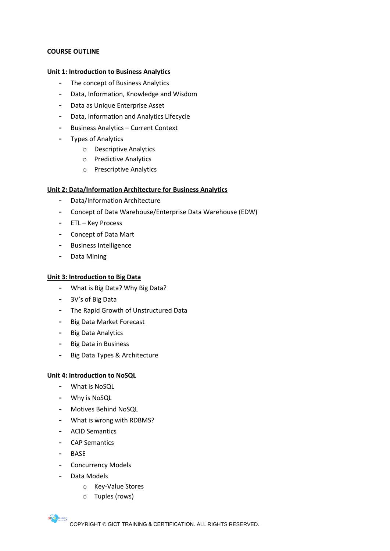#### **COURSE OUTLINE**

#### **Unit 1: Introduction to Business Analytics**

- **-** The concept of Business Analytics
- **-** Data, Information, Knowledge and Wisdom
- **-** Data as Unique Enterprise Asset
- **-** Data, Information and Analytics Lifecycle
- **-** Business Analytics Current Context
- **-** Types of Analytics
	- o Descriptive Analytics
	- o Predictive Analytics
	- o Prescriptive Analytics

#### **Unit 2: Data/Information Architecture for Business Analytics**

- **-** Data/Information Architecture
- **-** Concept of Data Warehouse/Enterprise Data Warehouse (EDW)
- **-** ETL Key Process
- **-** Concept of Data Mart
- **-** Business Intelligence
- **-** Data Mining

#### **Unit 3: Introduction to Big Data**

- **-** What is Big Data? Why Big Data?
- **-** 3V's of Big Data
- **-** The Rapid Growth of Unstructured Data
- **-** Big Data Market Forecast
- **-** Big Data Analytics
- **-** Big Data in Business
- **-** Big Data Types & Architecture

#### **Unit 4: Introduction to NoSQL**

- **-** What is NoSQL
- **-** Why is NoSQL
- **-** Motives Behind NoSQL
- **-** What is wrong with RDBMS?
- **-** ACID Semantics
- **-** CAP Semantics
- **-** BASE

**GIC** E Training

- **-** Concurrency Models
- **-** Data Models
	- o Key-Value Stores
	- o Tuples (rows)

COPYRIGHT © GICT TRAINING & CERTIFICATION. ALL RIGHTS RESERVED.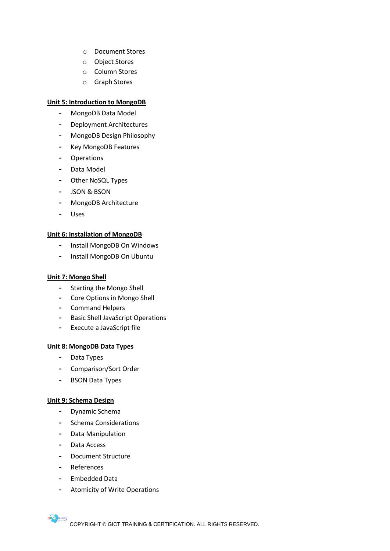- o Document Stores
- o Object Stores
- o Column Stores
- o Graph Stores

#### **Unit 5: Introduction to MongoDB**

- **-** MongoDB Data Model
- **-** Deployment Architectures
- **-** MongoDB Design Philosophy
- **-** Key MongoDB Features
- **-** Operations
- **-** Data Model
- **-** Other NoSQL Types
- **-** JSON & BSON
- **-** MongoDB Architecture
- **-** Uses

#### **Unit 6: Installation of MongoDB**

- **-** Install MongoDB On Windows
- **-** Install MongoDB On Ubuntu

#### **Unit 7: Mongo Shell**

- **-** Starting the Mongo Shell
- **-** Core Options in Mongo Shell
- **-** Command Helpers
- **-** Basic Shell JavaScript Operations
- **-** Execute a JavaScript file

#### **Unit 8: MongoDB Data Types**

- **-** Data Types
- **-** Comparison/Sort Order
- **-** BSON Data Types

#### **Unit 9: Schema Design**

- **-** Dynamic Schema
- **-** Schema Considerations
- **-** Data Manipulation
- **-** Data Access
- **-** Document Structure
- **-** References

**GIC** E<mark>Training</mark>

- **-** Embedded Data
- **-** Atomicity of Write Operations

COPYRIGHT © GICT TRAINING & CERTIFICATION. ALL RIGHTS RESERVED.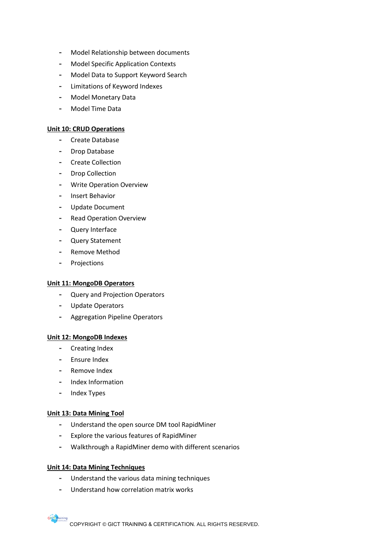- **-** Model Relationship between documents
- **-** Model Specific Application Contexts
- **-** Model Data to Support Keyword Search
- **-** Limitations of Keyword Indexes
- **-** Model Monetary Data
- **-** Model Time Data

#### **Unit 10: CRUD Operations**

- **-** Create Database
- **-** Drop Database
- **-** Create Collection
- **-** Drop Collection
- **-** Write Operation Overview
- **-** Insert Behavior
- **-** Update Document
- **-** Read Operation Overview
- **-** Query Interface
- **-** Query Statement
- **-** Remove Method
- **-** Projections

#### **Unit 11: MongoDB Operators**

- **-** Query and Projection Operators
- **-** Update Operators
- **-** Aggregation Pipeline Operators

#### **Unit 12: MongoDB Indexes**

- **-** Creating Index
- **-** Ensure Index
- **-** Remove Index
- **-** Index Information
- **-** Index Types

#### **Unit 13: Data Mining Tool**

- **-** Understand the open source DM tool RapidMiner
- **-** Explore the various features of RapidMiner
- **-** Walkthrough a RapidMiner demo with different scenarios

#### **Unit 14: Data Mining Techniques**

**GIC** E<mark>Training</mark>

- **-** Understand the various data mining techniques
- **-** Understand how correlation matrix works